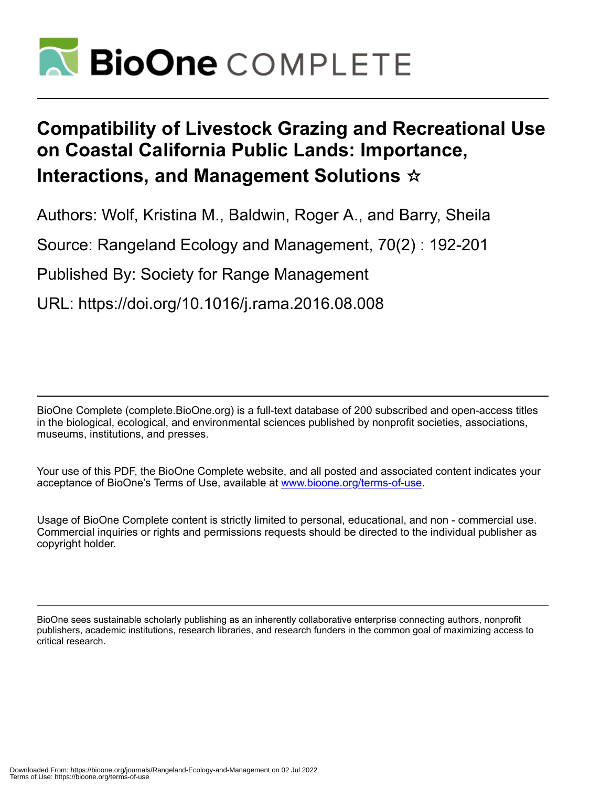

# **Compatibility of Livestock Grazing and Recreational Use on Coastal California Public Lands: Importance, Interactions, and Management Solutions** ☆

Authors: Wolf, Kristina M., Baldwin, Roger A., and Barry, Sheila

Source: Rangeland Ecology and Management, 70(2) : 192-201

Published By: Society for Range Management

URL: https://doi.org/10.1016/j.rama.2016.08.008

BioOne Complete (complete.BioOne.org) is a full-text database of 200 subscribed and open-access titles in the biological, ecological, and environmental sciences published by nonprofit societies, associations, museums, institutions, and presses.

Your use of this PDF, the BioOne Complete website, and all posted and associated content indicates your acceptance of BioOne's Terms of Use, available at www.bioone.org/terms-of-use.

Usage of BioOne Complete content is strictly limited to personal, educational, and non - commercial use. Commercial inquiries or rights and permissions requests should be directed to the individual publisher as copyright holder.

BioOne sees sustainable scholarly publishing as an inherently collaborative enterprise connecting authors, nonprofit publishers, academic institutions, research libraries, and research funders in the common goal of maximizing access to critical research.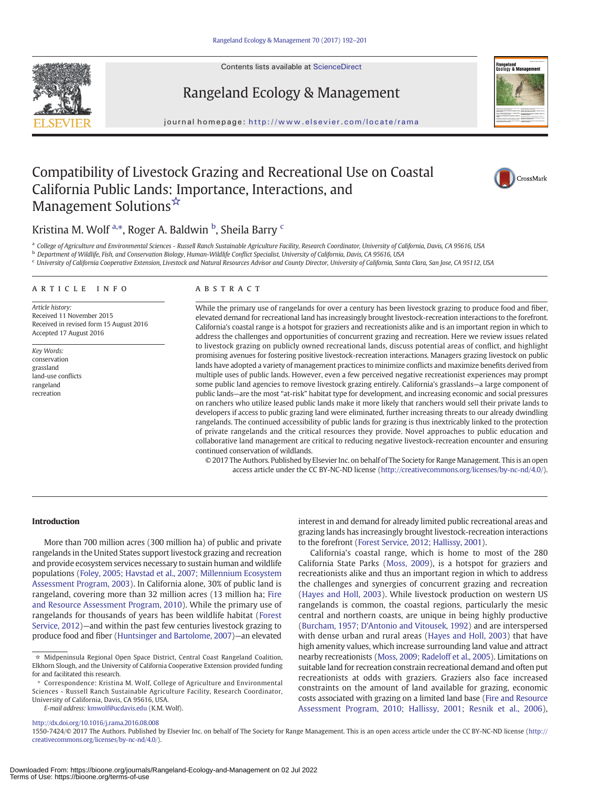Contents lists available at ScienceDirect





### Rangeland Ecology & Management

journal homepage: http://www.elsevier.com/locate/rama

## Compatibility of Livestock Grazing and Recreational Use on Coastal California Public Lands: Importance, Interactions, and Management Solutions<sup>☆</sup>



Kristina M. Wolf <sup>a,\*</sup>, Roger A. Baldwin <sup>b</sup>, Sheila Barry <sup>c</sup>

a College of Agriculture and Environmental Sciences - Russell Ranch Sustainable Agriculture Facility, Research Coordinator, University of California, Davis, CA 95616, USA <sup>b</sup> Department of Wildlife, Fish, and Conservation Biology, Human-Wildlife Conflict Specialist, University of California, Davis, CA 95616, USA

<sup>c</sup> University of California Cooperative Extension, Livestock and Natural Resources Advisor and County Director, University of California, Santa Clara, San Jose, CA 95112, USA

#### article info abstract

Article history: Received 11 November 2015 Received in revised form 15 August 2016 Accepted 17 August 2016

Key Words: conservation grassland land-use conflicts rangeland recreation

While the primary use of rangelands for over a century has been livestock grazing to produce food and fiber, elevated demand for recreational land has increasingly brought livestock-recreation interactions to the forefront. California's coastal range is a hotspot for graziers and recreationists alike and is an important region in which to address the challenges and opportunities of concurrent grazing and recreation. Here we review issues related to livestock grazing on publicly owned recreational lands, discuss potential areas of conflict, and highlight promising avenues for fostering positive livestock-recreation interactions. Managers grazing livestock on public lands have adopted a variety of management practices to minimize conflicts and maximize benefits derived from multiple uses of public lands. However, even a few perceived negative recreationist experiences may prompt some public land agencies to remove livestock grazing entirely. California's grasslands—a large component of public lands—are the most "at-risk" habitat type for development, and increasing economic and social pressures on ranchers who utilize leased public lands make it more likely that ranchers would sell their private lands to developers if access to public grazing land were eliminated, further increasing threats to our already dwindling rangelands. The continued accessibility of public lands for grazing is thus inextricably linked to the protection of private rangelands and the critical resources they provide. Novel approaches to public education and collaborative land management are critical to reducing negative livestock-recreation encounter and ensuring continued conservation of wildlands.

© 2017 The Authors. Published by Elsevier Inc. on behalf of The Society for Range Management. This is an open access article under the CC BY-NC-ND license (http://creativecommons.org/licenses/by-nc-nd/4.0/).

#### Introduction

More than 700 million acres (300 million ha) of public and private rangelands in the United States support livestock grazing and recreation and provide ecosystem services necessary to sustain human and wildlife populations ([Foley, 2005; Havstad et al., 2007; Millennium Ecosystem](#page-9-0) [Assessment Program, 2003\)](#page-9-0). In California alone, 30% of public land is rangeland, covering more than 32 million acres (13 million ha; [Fire](#page-9-0) [and Resource Assessment Program, 2010](#page-9-0)). While the primary use of rangelands for thousands of years has been wildlife habitat ([Forest](#page-9-0) [Service, 2012](#page-9-0))—and within the past few centuries livestock grazing to produce food and fiber [\(Huntsinger and Bartolome, 2007](#page-10-0))—an elevated

E-mail address: [kmwolf@ucdavis.edu](mailto:kmwolf@ucdavis.edu) (K.M. Wolf).

interest in and demand for already limited public recreational areas and grazing lands has increasingly brought livestock-recreation interactions to the forefront ([Forest Service, 2012; Hallissy, 2001](#page-9-0)).

California's coastal range, which is home to most of the 280 California State Parks [\(Moss, 2009](#page-10-0)), is a hotspot for graziers and recreationists alike and thus an important region in which to address the challenges and synergies of concurrent grazing and recreation ([Hayes and Holl, 2003](#page-9-0)). While livestock production on western US rangelands is common, the coastal regions, particularly the mesic central and northern coasts, are unique in being highly productive (Burcham, 1957; D'[Antonio and Vitousek, 1992](#page-9-0)) and are interspersed with dense urban and rural areas ([Hayes and Holl, 2003](#page-9-0)) that have high amenity values, which increase surrounding land value and attract nearby recreationists [\(Moss, 2009; Radeloff et al., 2005\)](#page-10-0). Limitations on suitable land for recreation constrain recreational demand and often put recreationists at odds with graziers. Graziers also face increased constraints on the amount of land available for grazing, economic costs associated with grazing on a limited land base ([Fire and Resource](#page-9-0) [Assessment Program, 2010; Hallissy, 2001; Resnik et al., 2006](#page-9-0)),

#### <http://dx.doi.org/10.1016/j.rama.2016.08.008>

1550-7424/© 2017 The Authors. Published by Elsevier Inc. on behalf of The Society for Range Management. This is an open access article under the CC BY-NC-ND license (http:// creativecommons.org/licenses/by-nc-nd/4.0/).

<sup>☆</sup> Midpeninsula Regional Open Space District, Central Coast Rangeland Coalition, Elkhorn Slough, and the University of California Cooperative Extension provided funding for and facilitated this research.

<sup>⁎</sup> Correspondence: Kristina M. Wolf, College of Agriculture and Environmental Sciences - Russell Ranch Sustainable Agriculture Facility, Research Coordinator, University of California, Davis, CA 95616, USA.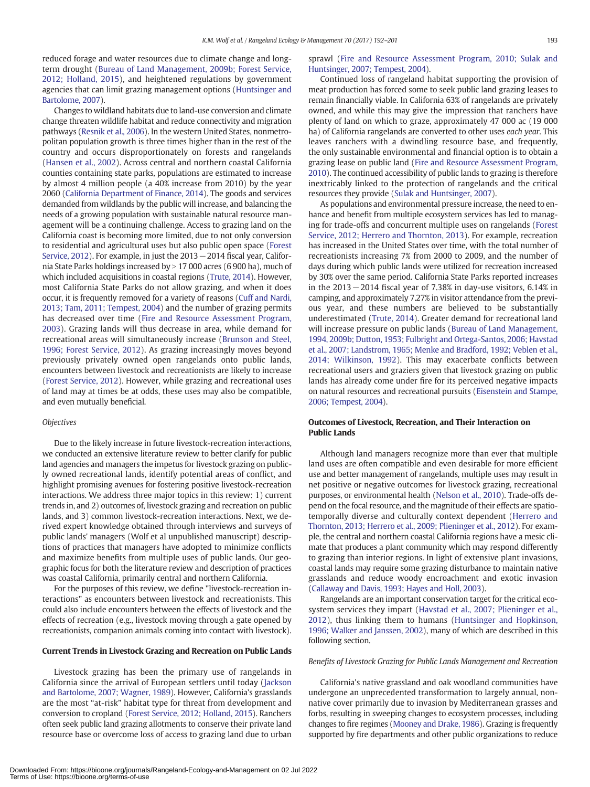reduced forage and water resources due to climate change and longterm drought [\(Bureau of Land Management, 2009b; Forest Service,](#page-9-0) [2012; Holland, 2015](#page-9-0)), and heightened regulations by government agencies that can limit grazing management options ([Huntsinger and](#page-10-0) [Bartolome, 2007\)](#page-10-0).

Changes to wildland habitats due to land-use conversion and climate change threaten wildlife habitat and reduce connectivity and migration pathways [\(Resnik et al., 2006](#page-10-0)). In the western United States, nonmetropolitan population growth is three times higher than in the rest of the country and occurs disproportionately on forests and rangelands [\(Hansen et al., 2002\)](#page-9-0). Across central and northern coastal California counties containing state parks, populations are estimated to increase by almost 4 million people (a 40% increase from 2010) by the year 2060 [\(California Department of Finance, 2014\)](#page-9-0). The goods and services demanded from wildlands by the public will increase, and balancing the needs of a growing population with sustainable natural resource management will be a continuing challenge. Access to grazing land on the California coast is becoming more limited, due to not only conversion to residential and agricultural uses but also public open space ([Forest](#page-9-0) [Service, 2012](#page-9-0)). For example, in just the 2013−2014 fiscal year, California State Parks holdings increased by > 17 000 acres (6 900 ha), much of which included acquisitions in coastal regions [\(Trute, 2014](#page-10-0)). However, most California State Parks do not allow grazing, and when it does occur, it is frequently removed for a variety of reasons [\(Cuff and Nardi,](#page-9-0) [2013; Tam, 2011; Tempest, 2004](#page-9-0)) and the number of grazing permits has decreased over time ([Fire and Resource Assessment Program,](#page-9-0) [2003\)](#page-9-0). Grazing lands will thus decrease in area, while demand for recreational areas will simultaneously increase ([Brunson and Steel,](#page-9-0) [1996; Forest Service, 2012\)](#page-9-0). As grazing increasingly moves beyond previously privately owned open rangelands onto public lands, encounters between livestock and recreationists are likely to increase [\(Forest Service, 2012](#page-9-0)). However, while grazing and recreational uses of land may at times be at odds, these uses may also be compatible, and even mutually beneficial.

#### **Objectives**

Due to the likely increase in future livestock-recreation interactions, we conducted an extensive literature review to better clarify for public land agencies and managers the impetus for livestock grazing on publicly owned recreational lands, identify potential areas of conflict, and highlight promising avenues for fostering positive livestock-recreation interactions. We address three major topics in this review: 1) current trends in, and 2) outcomes of, livestock grazing and recreation on public lands, and 3) common livestock-recreation interactions. Next, we derived expert knowledge obtained through interviews and surveys of public lands' managers (Wolf et al unpublished manuscript) descriptions of practices that managers have adopted to minimize conflicts and maximize benefits from multiple uses of public lands. Our geographic focus for both the literature review and description of practices was coastal California, primarily central and northern California.

For the purposes of this review, we define "livestock-recreation interactions" as encounters between livestock and recreationists. This could also include encounters between the effects of livestock and the effects of recreation (e.g., livestock moving through a gate opened by recreationists, companion animals coming into contact with livestock).

#### Current Trends in Livestock Grazing and Recreation on Public Lands

Livestock grazing has been the primary use of rangelands in California since the arrival of European settlers until today ([Jackson](#page-10-0) [and Bartolome, 2007; Wagner, 1989\)](#page-10-0). However, California's grasslands are the most "at-risk" habitat type for threat from development and conversion to cropland [\(Forest Service, 2012; Holland, 2015\)](#page-9-0). Ranchers often seek public land grazing allotments to conserve their private land resource base or overcome loss of access to grazing land due to urban sprawl ([Fire and Resource Assessment Program, 2010; Sulak and](#page-9-0) [Huntsinger, 2007; Tempest, 2004\)](#page-9-0).

Continued loss of rangeland habitat supporting the provision of meat production has forced some to seek public land grazing leases to remain financially viable. In California 63% of rangelands are privately owned, and while this may give the impression that ranchers have plenty of land on which to graze, approximately 47 000 ac (19 000 ha) of California rangelands are converted to other uses each year. This leaves ranchers with a dwindling resource base, and frequently, the only sustainable environmental and financial option is to obtain a grazing lease on public land ([Fire and Resource Assessment Program,](#page-9-0) [2010](#page-9-0)). The continued accessibility of public lands to grazing is therefore inextricably linked to the protection of rangelands and the critical resources they provide [\(Sulak and Huntsinger, 2007](#page-10-0)).

As populations and environmental pressure increase, the need to enhance and benefit from multiple ecosystem services has led to managing for trade-offs and concurrent multiple uses on rangelands [\(Forest](#page-9-0) [Service, 2012; Herrero and Thornton, 2013](#page-9-0)). For example, recreation has increased in the United States over time, with the total number of recreationists increasing 7% from 2000 to 2009, and the number of days during which public lands were utilized for recreation increased by 30% over the same period. California State Parks reported increases in the 2013−2014 fiscal year of 7.38% in day-use visitors, 6.14% in camping, and approximately 7.27% in visitor attendance from the previous year, and these numbers are believed to be substantially underestimated ([Trute, 2014\)](#page-10-0). Greater demand for recreational land will increase pressure on public lands [\(Bureau of Land Management,](#page-9-0) [1994, 2009b; Dutton, 1953; Fulbright and Ortega-Santos, 2006; Havstad](#page-9-0) [et al., 2007; Landstrom, 1965; Menke and Bradford, 1992; Veblen et al.,](#page-9-0) [2014; Wilkinson, 1992](#page-9-0)). This may exacerbate conflicts between recreational users and graziers given that livestock grazing on public lands has already come under fire for its perceived negative impacts on natural resources and recreational pursuits ([Eisenstein and Stampe,](#page-9-0) [2006; Tempest, 2004](#page-9-0)).

#### Outcomes of Livestock, Recreation, and Their Interaction on Public Lands

Although land managers recognize more than ever that multiple land uses are often compatible and even desirable for more efficient use and better management of rangelands, multiple uses may result in net positive or negative outcomes for livestock grazing, recreational purposes, or environmental health [\(Nelson et al., 2010](#page-10-0)). Trade-offs depend on the focal resource, and the magnitude of their effects are spatiotemporally diverse and culturally context dependent [\(Herrero and](#page-9-0) [Thornton, 2013; Herrero et al., 2009; Plieninger et al., 2012](#page-9-0)). For example, the central and northern coastal California regions have a mesic climate that produces a plant community which may respond differently to grazing than interior regions. In light of extensive plant invasions, coastal lands may require some grazing disturbance to maintain native grasslands and reduce woody encroachment and exotic invasion [\(Callaway and Davis, 1993; Hayes and Holl, 2003](#page-9-0)).

Rangelands are an important conservation target for the critical ecosystem services they impart ([Havstad et al., 2007; Plieninger et al.,](#page-9-0) [2012\)](#page-9-0), thus linking them to humans ([Huntsinger and Hopkinson,](#page-10-0) [1996; Walker and Janssen, 2002\)](#page-10-0), many of which are described in this following section.

#### Benefits of Livestock Grazing for Public Lands Management and Recreation

California's native grassland and oak woodland communities have undergone an unprecedented transformation to largely annual, nonnative cover primarily due to invasion by Mediterranean grasses and forbs, resulting in sweeping changes to ecosystem processes, including changes to fire regimes ([Mooney and Drake, 1986\)](#page-10-0). Grazing is frequently supported by fire departments and other public organizations to reduce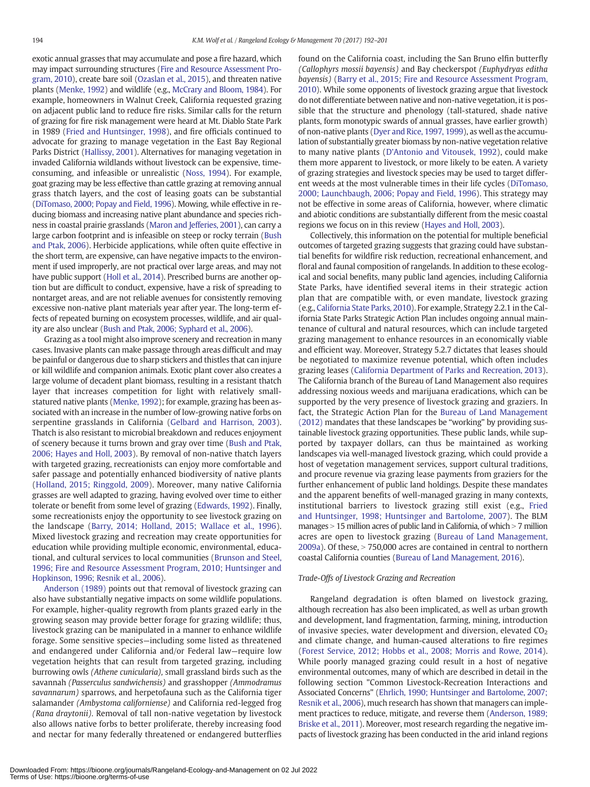exotic annual grasses that may accumulate and pose a fire hazard, which may impact surrounding structures ([Fire and Resource Assessment Pro](#page-9-0)[gram, 2010](#page-9-0)), create bare soil ([Ozaslan et al., 2015\)](#page-10-0), and threaten native plants ([Menke, 1992](#page-10-0)) and wildlife (e.g., [McCrary and Bloom, 1984\)](#page-10-0). For example, homeowners in Walnut Creek, California requested grazing on adjacent public land to reduce fire risks. Similar calls for the return of grazing for fire risk management were heard at Mt. Diablo State Park in 1989 ([Fried and Huntsinger, 1998](#page-9-0)), and fire officials continued to advocate for grazing to manage vegetation in the East Bay Regional Parks District [\(Hallissy, 2001\)](#page-9-0). Alternatives for managing vegetation in invaded California wildlands without livestock can be expensive, timeconsuming, and infeasible or unrealistic [\(Noss, 1994\)](#page-10-0). For example, goat grazing may be less effective than cattle grazing at removing annual grass thatch layers, and the cost of leasing goats can be substantial ([DiTomaso, 2000; Popay and Field, 1996](#page-9-0)). Mowing, while effective in reducing biomass and increasing native plant abundance and species richness in coastal prairie grasslands [\(Maron and Jefferies, 2001](#page-10-0)), can carry a large carbon footprint and is infeasible on steep or rocky terrain [\(Bush](#page-9-0) [and Ptak, 2006](#page-9-0)). Herbicide applications, while often quite effective in the short term, are expensive, can have negative impacts to the environment if used improperly, are not practical over large areas, and may not have public support [\(Holl et al., 2014](#page-10-0)). Prescribed burns are another option but are difficult to conduct, expensive, have a risk of spreading to nontarget areas, and are not reliable avenues for consistently removing excessive non-native plant materials year after year. The long-term effects of repeated burning on ecosystem processes, wildlife, and air quality are also unclear [\(Bush and Ptak, 2006; Syphard et al., 2006](#page-9-0)).

Grazing as a tool might also improve scenery and recreation in many cases. Invasive plants can make passage through areas difficult and may be painful or dangerous due to sharp stickers and thistles that can injure or kill wildlife and companion animals. Exotic plant cover also creates a large volume of decadent plant biomass, resulting in a resistant thatch layer that increases competition for light with relatively smallstatured native plants ([Menke, 1992](#page-10-0)); for example, grazing has been associated with an increase in the number of low-growing native forbs on serpentine grasslands in California ([Gelbard and Harrison, 2003](#page-9-0)). Thatch is also resistant to microbial breakdown and reduces enjoyment of scenery because it turns brown and gray over time ([Bush and Ptak,](#page-9-0) [2006; Hayes and Holl, 2003](#page-9-0)). By removal of non-native thatch layers with targeted grazing, recreationists can enjoy more comfortable and safer passage and potentially enhanced biodiversity of native plants ([Holland, 2015; Ringgold, 2009\)](#page-10-0). Moreover, many native California grasses are well adapted to grazing, having evolved over time to either tolerate or benefit from some level of grazing ([Edwards, 1992](#page-9-0)). Finally, some recreationists enjoy the opportunity to see livestock grazing on the landscape ([Barry, 2014; Holland, 2015; Wallace et al., 1996](#page-9-0)). Mixed livestock grazing and recreation may create opportunities for education while providing multiple economic, environmental, educational, and cultural services to local communities ([Brunson and Steel,](#page-9-0) [1996; Fire and Resource Assessment Program, 2010; Huntsinger and](#page-9-0) [Hopkinson, 1996; Resnik et al., 2006](#page-9-0)).

[Anderson \(1989\)](#page-9-0) points out that removal of livestock grazing can also have substantially negative impacts on some wildlife populations. For example, higher-quality regrowth from plants grazed early in the growing season may provide better forage for grazing wildlife; thus, livestock grazing can be manipulated in a manner to enhance wildlife forage. Some sensitive species—including some listed as threatened and endangered under California and/or Federal law—require low vegetation heights that can result from targeted grazing, including burrowing owls (Athene cunicularia), small grassland birds such as the savannah (Passerculus sandwichensis) and grasshopper (Ammodramus savannarum) sparrows, and herpetofauna such as the California tiger salamander (Ambystoma californiense) and California red-legged frog (Rana draytonii). Removal of tall non-native vegetation by livestock also allows native forbs to better proliferate, thereby increasing food and nectar for many federally threatened or endangered butterflies found on the California coast, including the San Bruno elfin butterfly (Callophyrs mossii bayensis) and Bay checkerspot (Euphydryas editha bayensis) ([Barry et al., 2015; Fire and Resource Assessment Program,](#page-9-0) [2010](#page-9-0)). While some opponents of livestock grazing argue that livestock do not differentiate between native and non-native vegetation, it is possible that the structure and phenology (tall-statured, shade native plants, form monotypic swards of annual grasses, have earlier growth) of non-native plants [\(Dyer and Rice, 1997, 1999](#page-9-0)), as well as the accumulation of substantially greater biomass by non-native vegetation relative to many native plants (D'[Antonio and Vitousek, 1992](#page-9-0)), could make them more apparent to livestock, or more likely to be eaten. A variety of grazing strategies and livestock species may be used to target different weeds at the most vulnerable times in their life cycles [\(DiTomaso,](#page-9-0) [2000; Launchbaugh, 2006; Popay and Field, 1996](#page-9-0)). This strategy may not be effective in some areas of California, however, where climatic and abiotic conditions are substantially different from the mesic coastal regions we focus on in this review ([Hayes and Holl, 2003\)](#page-9-0).

Collectively, this information on the potential for multiple beneficial outcomes of targeted grazing suggests that grazing could have substantial benefits for wildfire risk reduction, recreational enhancement, and floral and faunal composition of rangelands. In addition to these ecological and social benefits, many public land agencies, including California State Parks, have identified several items in their strategic action plan that are compatible with, or even mandate, livestock grazing (e.g., [California State Parks, 2010\)](#page-9-0). For example, Strategy 2.2.1 in the California State Parks Strategic Action Plan includes ongoing annual maintenance of cultural and natural resources, which can include targeted grazing management to enhance resources in an economically viable and efficient way. Moreover, Strategy 5.2.7 dictates that leases should be negotiated to maximize revenue potential, which often includes grazing leases ([California Department of Parks and Recreation, 2013](#page-9-0)). The California branch of the Bureau of Land Management also requires addressing noxious weeds and marijuana eradications, which can be supported by the very presence of livestock grazing and graziers. In fact, the Strategic Action Plan for the [Bureau of Land Management](#page-9-0) [\(2012\)](#page-9-0) mandates that these landscapes be "working" by providing sustainable livestock grazing opportunities. These public lands, while supported by taxpayer dollars, can thus be maintained as working landscapes via well-managed livestock grazing, which could provide a host of vegetation management services, support cultural traditions, and procure revenue via grazing lease payments from graziers for the further enhancement of public land holdings. Despite these mandates and the apparent benefits of well-managed grazing in many contexts, institutional barriers to livestock grazing still exist (e.g., [Fried](#page-9-0) [and Huntsinger, 1998; Huntsinger and Bartolome, 2007](#page-9-0)). The BLM manages  $> 15$  million acres of public land in California, of which  $> 7$  million acres are open to livestock grazing [\(Bureau of Land Management,](#page-9-0)  $2009a$ ). Of these,  $> 750,000$  acres are contained in central to northern coastal California counties [\(Bureau of Land Management, 2016\)](#page-9-0).

#### Trade-Offs of Livestock Grazing and Recreation

Rangeland degradation is often blamed on livestock grazing, although recreation has also been implicated, as well as urban growth and development, land fragmentation, farming, mining, introduction of invasive species, water development and diversion, elevated  $CO<sub>2</sub>$ and climate change, and human-caused alterations to fire regimes ([Forest Service, 2012; Hobbs et al., 2008; Morris and Rowe, 2014](#page-9-0)). While poorly managed grazing could result in a host of negative environmental outcomes, many of which are described in detail in the following section "Common Livestock-Recreation Interactions and Associated Concerns" ([Ehrlich, 1990; Huntsinger and Bartolome, 2007;](#page-9-0) [Resnik et al., 2006\)](#page-9-0), much research has shown that managers can implement practices to reduce, mitigate, and reverse them [\(Anderson, 1989;](#page-9-0) [Briske et al., 2011\)](#page-9-0). Moreover, most research regarding the negative impacts of livestock grazing has been conducted in the arid inland regions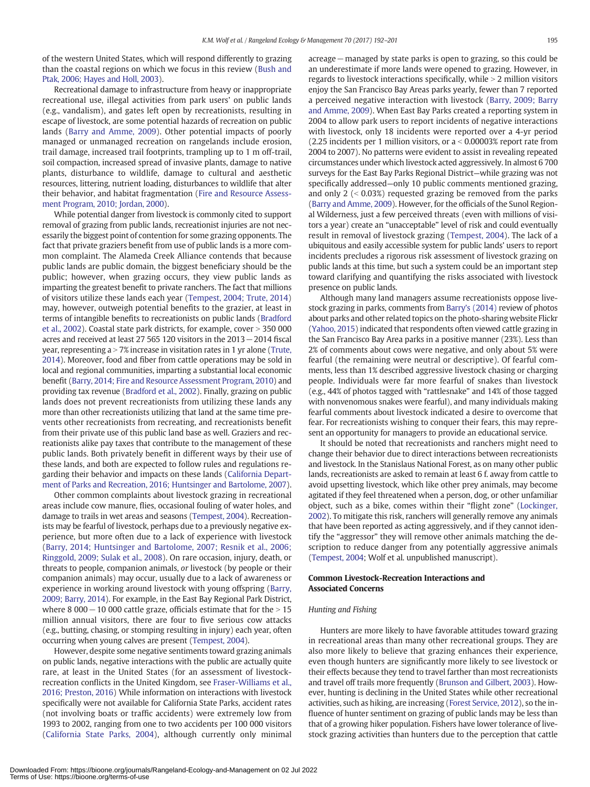of the western United States, which will respond differently to grazing than the coastal regions on which we focus in this review ([Bush and](#page-9-0) [Ptak, 2006; Hayes and Holl, 2003\)](#page-9-0).

Recreational damage to infrastructure from heavy or inappropriate recreational use, illegal activities from park users' on public lands (e.g., vandalism), and gates left open by recreationists, resulting in escape of livestock, are some potential hazards of recreation on public lands [\(Barry and Amme, 2009](#page-9-0)). Other potential impacts of poorly managed or unmanaged recreation on rangelands include erosion, trail damage, increased trail footprints, trampling up to 1 m off-trail, soil compaction, increased spread of invasive plants, damage to native plants, disturbance to wildlife, damage to cultural and aesthetic resources, littering, nutrient loading, disturbances to wildlife that alter their behavior, and habitat fragmentation ([Fire and Resource Assess](#page-9-0)[ment Program, 2010; Jordan, 2000\)](#page-9-0).

While potential danger from livestock is commonly cited to support removal of grazing from public lands, recreationist injuries are not necessarily the biggest point of contention for some grazing opponents. The fact that private graziers benefit from use of public lands is a more common complaint. The Alameda Creek Alliance contends that because public lands are public domain, the biggest beneficiary should be the public; however, when grazing occurs, they view public lands as imparting the greatest benefit to private ranchers. The fact that millions of visitors utilize these lands each year ([Tempest, 2004; Trute, 2014](#page-10-0)) may, however, outweigh potential benefits to the grazier, at least in terms of intangible benefits to recreationists on public lands [\(Bradford](#page-9-0) [et al., 2002\)](#page-9-0). Coastal state park districts, for example, cover  $>$  350 000 acres and received at least 27 565 120 visitors in the 2013−2014 fiscal year, representing  $a > 7\%$  increase in visitation rates in 1 yr alone ([Trute,](#page-10-0) [2014](#page-10-0)). Moreover, food and fiber from cattle operations may be sold in local and regional communities, imparting a substantial local economic benefit [\(Barry, 2014; Fire and Resource Assessment Program, 2010](#page-9-0)) and providing tax revenue [\(Bradford et al., 2002\)](#page-9-0). Finally, grazing on public lands does not prevent recreationists from utilizing these lands any more than other recreationists utilizing that land at the same time prevents other recreationists from recreating, and recreationists benefit from their private use of this public land base as well. Graziers and recreationists alike pay taxes that contribute to the management of these public lands. Both privately benefit in different ways by their use of these lands, and both are expected to follow rules and regulations regarding their behavior and impacts on these lands [\(California Depart](#page-9-0)[ment of Parks and Recreation, 2016; Huntsinger and Bartolome, 2007](#page-9-0)).

Other common complaints about livestock grazing in recreational areas include cow manure, flies, occasional fouling of water holes, and damage to trails in wet areas and seasons ([Tempest, 2004\)](#page-10-0). Recreationists may be fearful of livestock, perhaps due to a previously negative experience, but more often due to a lack of experience with livestock [\(Barry, 2014; Huntsinger and Bartolome, 2007; Resnik et al., 2006;](#page-9-0) [Ringgold, 2009; Sulak et al., 2008](#page-9-0)). On rare occasion, injury, death, or threats to people, companion animals, or livestock (by people or their companion animals) may occur, usually due to a lack of awareness or experience in working around livestock with young offspring [\(Barry,](#page-9-0) [2009; Barry, 2014\)](#page-9-0). For example, in the East Bay Regional Park District, where 8 000 $-10$  000 cattle graze, officials estimate that for the  $> 15$ million annual visitors, there are four to five serious cow attacks (e.g., butting, chasing, or stomping resulting in injury) each year, often occurring when young calves are present [\(Tempest, 2004](#page-10-0)).

However, despite some negative sentiments toward grazing animals on public lands, negative interactions with the public are actually quite rare, at least in the United States (for an assessment of livestockrecreation conflicts in the United Kingdom, see [Fraser-Williams et al.,](#page-9-0) [2016; Preston, 2016](#page-9-0)) While information on interactions with livestock specifically were not available for California State Parks, accident rates (not involving boats or traffic accidents) were extremely low from 1993 to 2002, ranging from one to two accidents per 100 000 visitors [\(California State Parks, 2004\)](#page-9-0), although currently only minimal acreage−managed by state parks is open to grazing, so this could be an underestimate if more lands were opened to grazing. However, in regards to livestock interactions specifically, while  $> 2$  million visitors enjoy the San Francisco Bay Areas parks yearly, fewer than 7 reported a perceived negative interaction with livestock ([Barry, 2009; Barry](#page-9-0) [and Amme, 2009\)](#page-9-0). When East Bay Parks created a reporting system in 2004 to allow park users to report incidents of negative interactions with livestock, only 18 incidents were reported over a 4-yr period (2.25 incidents per 1 million visitors, or  $a < 0.00003\%$  report rate from 2004 to 2007). No patterns were evident to assist in revealing repeated circumstances under which livestock acted aggressively. In almost 6 700 surveys for the East Bay Parks Regional District—while grazing was not specifically addressed—only 10 public comments mentioned grazing, and only  $2$  ( $\le$  0.03%) requested grazing be removed from the parks [\(Barry and Amme, 2009](#page-9-0)). However, for the officials of the Sunol Regional Wilderness, just a few perceived threats (even with millions of visitors a year) create an "unacceptable" level of risk and could eventually result in removal of livestock grazing [\(Tempest, 2004\)](#page-10-0). The lack of a ubiquitous and easily accessible system for public lands' users to report incidents precludes a rigorous risk assessment of livestock grazing on public lands at this time, but such a system could be an important step toward clarifying and quantifying the risks associated with livestock presence on public lands.

Although many land managers assume recreationists oppose livestock grazing in parks, comments from [Barry's \(2014\)](#page-9-0) review of photos about parks and other related topics on the photo-sharing website Flickr [\(Yahoo, 2015](#page-10-0)) indicated that respondents often viewed cattle grazing in the San Francisco Bay Area parks in a positive manner (23%). Less than 2% of comments about cows were negative, and only about 5% were fearful (the remaining were neutral or descriptive). Of fearful comments, less than 1% described aggressive livestock chasing or charging people. Individuals were far more fearful of snakes than livestock (e.g., 44% of photos tagged with "rattlesnake" and 14% of those tagged with nonvenomous snakes were fearful), and many individuals making fearful comments about livestock indicated a desire to overcome that fear. For recreationists wishing to conquer their fears, this may represent an opportunity for managers to provide an educational service.

It should be noted that recreationists and ranchers might need to change their behavior due to direct interactions between recreationists and livestock. In the Stanislaus National Forest, as on many other public lands, recreationists are asked to remain at least 6 f. away from cattle to avoid upsetting livestock, which like other prey animals, may become agitated if they feel threatened when a person, dog, or other unfamiliar object, such as a bike, comes within their "flight zone" ([Lockinger,](#page-10-0) [2002](#page-10-0)). To mitigate this risk, ranchers will generally remove any animals that have been reported as acting aggressively, and if they cannot identify the "aggressor" they will remove other animals matching the description to reduce danger from any potentially aggressive animals [\(Tempest, 2004](#page-10-0); Wolf et al. unpublished manuscript).

### Common Livestock-Recreation Interactions and Associated Concerns

#### Hunting and Fishing

Hunters are more likely to have favorable attitudes toward grazing in recreational areas than many other recreational groups. They are also more likely to believe that grazing enhances their experience, even though hunters are significantly more likely to see livestock or their effects because they tend to travel farther than most recreationists and travel off trails more frequently ([Brunson and Gilbert, 2003](#page-9-0)). However, hunting is declining in the United States while other recreational activities, such as hiking, are increasing [\(Forest Service, 2012\)](#page-9-0), so the influence of hunter sentiment on grazing of public lands may be less than that of a growing hiker population. Fishers have lower tolerance of livestock grazing activities than hunters due to the perception that cattle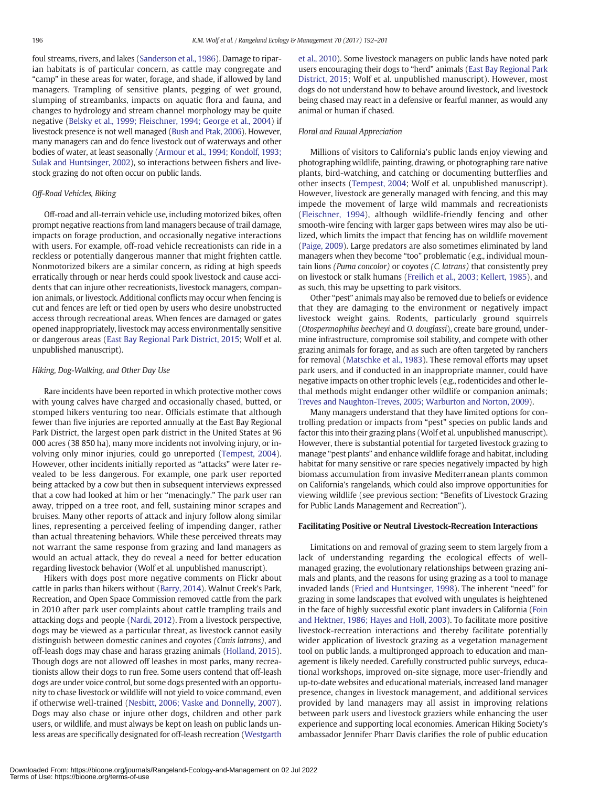foul streams, rivers, and lakes ([Sanderson et al., 1986\)](#page-10-0). Damage to riparian habitats is of particular concern, as cattle may congregate and "camp" in these areas for water, forage, and shade, if allowed by land managers. Trampling of sensitive plants, pegging of wet ground, slumping of streambanks, impacts on aquatic flora and fauna, and changes to hydrology and stream channel morphology may be quite negative [\(Belsky et al., 1999; Fleischner, 1994; George et al., 2004\)](#page-9-0) if livestock presence is not well managed [\(Bush and Ptak, 2006\)](#page-9-0). However, many managers can and do fence livestock out of waterways and other bodies of water, at least seasonally [\(Armour et al., 1994; Kondolf, 1993;](#page-9-0) [Sulak and Huntsinger, 2002](#page-9-0)), so interactions between fishers and livestock grazing do not often occur on public lands.

#### Off-Road Vehicles, Biking

Off-road and all-terrain vehicle use, including motorized bikes, often prompt negative reactions from land managers because of trail damage, impacts on forage production, and occasionally negative interactions with users. For example, off-road vehicle recreationists can ride in a reckless or potentially dangerous manner that might frighten cattle. Nonmotorized bikers are a similar concern, as riding at high speeds erratically through or near herds could spook livestock and cause accidents that can injure other recreationists, livestock managers, companion animals, or livestock. Additional conflicts may occur when fencing is cut and fences are left or tied open by users who desire unobstructed access through recreational areas. When fences are damaged or gates opened inappropriately, livestock may access environmentally sensitive or dangerous areas [\(East Bay Regional Park District, 2015](#page-9-0); Wolf et al. unpublished manuscript).

#### Hiking, Dog-Walking, and Other Day Use

Rare incidents have been reported in which protective mother cows with young calves have charged and occasionally chased, butted, or stomped hikers venturing too near. Officials estimate that although fewer than five injuries are reported annually at the East Bay Regional Park District, the largest open park district in the United States at 96 000 acres (38 850 ha), many more incidents not involving injury, or involving only minor injuries, could go unreported [\(Tempest, 2004](#page-10-0)). However, other incidents initially reported as "attacks" were later revealed to be less dangerous. For example, one park user reported being attacked by a cow but then in subsequent interviews expressed that a cow had looked at him or her "menacingly." The park user ran away, tripped on a tree root, and fell, sustaining minor scrapes and bruises. Many other reports of attack and injury follow along similar lines, representing a perceived feeling of impending danger, rather than actual threatening behaviors. While these perceived threats may not warrant the same response from grazing and land managers as would an actual attack, they do reveal a need for better education regarding livestock behavior (Wolf et al. unpublished manuscript).

Hikers with dogs post more negative comments on Flickr about cattle in parks than hikers without [\(Barry, 2014](#page-9-0)). Walnut Creek's Park, Recreation, and Open Space Commission removed cattle from the park in 2010 after park user complaints about cattle trampling trails and attacking dogs and people [\(Nardi, 2012\)](#page-10-0). From a livestock perspective, dogs may be viewed as a particular threat, as livestock cannot easily distinguish between domestic canines and coyotes (Canis latrans), and off-leash dogs may chase and harass grazing animals [\(Holland, 2015](#page-10-0)). Though dogs are not allowed off leashes in most parks, many recreationists allow their dogs to run free. Some users contend that off-leash dogs are under voice control, but some dogs presented with an opportunity to chase livestock or wildlife will not yield to voice command, even if otherwise well-trained [\(Nesbitt, 2006; Vaske and Donnelly, 2007](#page-10-0)). Dogs may also chase or injure other dogs, children and other park users, or wildlife, and must always be kept on leash on public lands unless areas are specifically designated for off-leash recreation [\(Westgarth](#page-10-0) [et al., 2010\)](#page-10-0). Some livestock managers on public lands have noted park users encouraging their dogs to "herd" animals ([East Bay Regional Park](#page-9-0) [District, 2015](#page-9-0); Wolf et al. unpublished manuscript). However, most dogs do not understand how to behave around livestock, and livestock being chased may react in a defensive or fearful manner, as would any animal or human if chased.

#### Floral and Faunal Appreciation

Millions of visitors to California's public lands enjoy viewing and photographing wildlife, painting, drawing, or photographing rare native plants, bird-watching, and catching or documenting butterflies and other insects [\(Tempest, 2004;](#page-10-0) Wolf et al. unpublished manuscript). However, livestock are generally managed with fencing, and this may impede the movement of large wild mammals and recreationists ([Fleischner, 1994\)](#page-9-0), although wildlife-friendly fencing and other smooth-wire fencing with larger gaps between wires may also be utilized, which limits the impact that fencing has on wildlife movement ([Paige, 2009](#page-10-0)). Large predators are also sometimes eliminated by land managers when they become "too" problematic (e.g., individual mountain lions (Puma concolor) or coyotes (C. latrans) that consistently prey on livestock or stalk humans [\(Freilich et al., 2003; Kellert, 1985](#page-9-0)), and as such, this may be upsetting to park visitors.

Other "pest" animals may also be removed due to beliefs or evidence that they are damaging to the environment or negatively impact livestock weight gains. Rodents, particularly ground squirrels (Otospermophilus beecheyi and O. douglassi), create bare ground, undermine infrastructure, compromise soil stability, and compete with other grazing animals for forage, and as such are often targeted by ranchers for removal [\(Matschke et al., 1983](#page-10-0)). These removal efforts may upset park users, and if conducted in an inappropriate manner, could have negative impacts on other trophic levels (e.g., rodenticides and other lethal methods might endanger other wildlife or companion animals; [Treves and Naughton-Treves, 2005; Warburton and Norton, 2009](#page-10-0)).

Many managers understand that they have limited options for controlling predation or impacts from "pest" species on public lands and factor this into their grazing plans (Wolf et al. unpublished manuscript). However, there is substantial potential for targeted livestock grazing to manage "pest plants" and enhance wildlife forage and habitat, including habitat for many sensitive or rare species negatively impacted by high biomass accumulation from invasive Mediterranean plants common on California's rangelands, which could also improve opportunities for viewing wildlife (see previous section: "Benefits of Livestock Grazing for Public Lands Management and Recreation").

#### Facilitating Positive or Neutral Livestock-Recreation Interactions

Limitations on and removal of grazing seem to stem largely from a lack of understanding regarding the ecological effects of wellmanaged grazing, the evolutionary relationships between grazing animals and plants, and the reasons for using grazing as a tool to manage invaded lands [\(Fried and Huntsinger, 1998](#page-9-0)). The inherent "need" for grazing in some landscapes that evolved with ungulates is heightened in the face of highly successful exotic plant invaders in California [\(Foin](#page-9-0) [and Hektner, 1986; Hayes and Holl, 2003\)](#page-9-0). To facilitate more positive livestock-recreation interactions and thereby facilitate potentially wider application of livestock grazing as a vegetation management tool on public lands, a multipronged approach to education and management is likely needed. Carefully constructed public surveys, educational workshops, improved on-site signage, more user-friendly and up-to-date websites and educational materials, increased land manager presence, changes in livestock management, and additional services provided by land managers may all assist in improving relations between park users and livestock graziers while enhancing the user experience and supporting local economies. American Hiking Society's ambassador Jennifer Pharr Davis clarifies the role of public education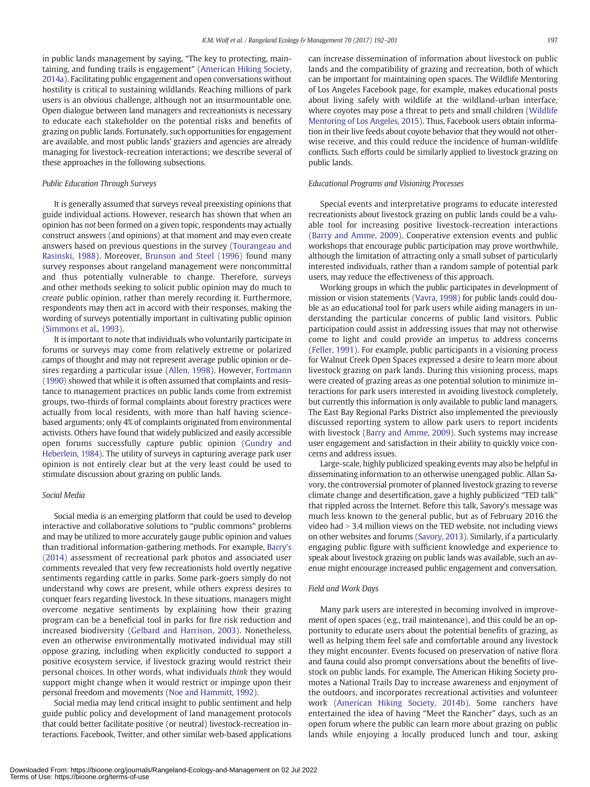in public lands management by saying, "The key to protecting, maintaining, and funding trails is engagement" ([American Hiking Society,](#page-9-0) [2014a](#page-9-0)). Facilitating public engagement and open conversations without hostility is critical to sustaining wildlands. Reaching millions of park users is an obvious challenge, although not an insurmountable one. Open dialogue between land managers and recreationists is necessary to educate each stakeholder on the potential risks and benefits of grazing on public lands. Fortunately, such opportunities for engagement are available, and most public lands' graziers and agencies are already managing for livestock-recreation interactions; we describe several of these approaches in the following subsections.

#### Public Education Through Surveys

It is generally assumed that surveys reveal preexisting opinions that guide individual actions. However, research has shown that when an opinion has not been formed on a given topic, respondents may actually construct answers (and opinions) at that moment and may even create answers based on previous questions in the survey ([Tourangeau and](#page-10-0) [Rasinski, 1988](#page-10-0)). Moreover, [Brunson and Steel \(1996\)](#page-9-0) found many survey responses about rangeland management were noncommittal and thus potentially vulnerable to change. Therefore, surveys and other methods seeking to solicit public opinion may do much to create public opinion, rather than merely recording it. Furthermore, respondents may then act in accord with their responses, making the wording of surveys potentially important in cultivating public opinion [\(Simmons et al., 1993\)](#page-10-0).

It is important to note that individuals who voluntarily participate in forums or surveys may come from relatively extreme or polarized camps of thought and may not represent average public opinion or desires regarding a particular issue ([Allen, 1998\)](#page-9-0). However, [Fortmann](#page-9-0) [\(1990\)](#page-9-0) showed that while it is often assumed that complaints and resistance to management practices on public lands come from extremist groups, two-thirds of formal complaints about forestry practices were actually from local residents, with more than half having sciencebased arguments; only 4% of complaints originated from environmental activists. Others have found that widely publicized and easily accessible open forums successfully capture public opinion ([Gundry and](#page-9-0) [Heberlein, 1984](#page-9-0)). The utility of surveys in capturing average park user opinion is not entirely clear but at the very least could be used to stimulate discussion about grazing on public lands.

#### Social Media

Social media is an emerging platform that could be used to develop interactive and collaborative solutions to "public commons" problems and may be utilized to more accurately gauge public opinion and values than traditional information-gathering methods. For example, [Barry](#page-9-0)'s [\(2014\)](#page-9-0) assessment of recreational park photos and associated user comments revealed that very few recreationists hold overtly negative sentiments regarding cattle in parks. Some park-goers simply do not understand why cows are present, while others express desires to conquer fears regarding livestock. In these situations, managers might overcome negative sentiments by explaining how their grazing program can be a beneficial tool in parks for fire risk reduction and increased biodiversity [\(Gelbard and Harrison, 2003\)](#page-9-0). Nonetheless, even an otherwise environmentally motivated individual may still oppose grazing, including when explicitly conducted to support a positive ecosystem service, if livestock grazing would restrict their personal choices. In other words, what individuals think they would support might change when it would restrict or impinge upon their personal freedom and movements [\(Noe and Hammitt, 1992](#page-10-0)).

Social media may lend critical insight to public sentiment and help guide public policy and development of land management protocols that could better facilitate positive (or neutral) livestock-recreation interactions. Facebook, Twitter, and other similar web-based applications

can increase dissemination of information about livestock on public lands and the compatibility of grazing and recreation, both of which can be important for maintaining open spaces. The Wildlife Mentoring of Los Angeles Facebook page, for example, makes educational posts about living safely with wildlife at the wildland-urban interface, where coyotes may pose a threat to pets and small children ([Wildlife](#page-10-0) [Mentoring of Los Angeles, 2015\)](#page-10-0). Thus, Facebook users obtain information in their live feeds about coyote behavior that they would not otherwise receive, and this could reduce the incidence of human-wildlife conflicts. Such efforts could be similarly applied to livestock grazing on public lands.

#### Educational Programs and Visioning Processes

Special events and interpretative programs to educate interested recreationists about livestock grazing on public lands could be a valuable tool for increasing positive livestock-recreation interactions [\(Barry and Amme, 2009\)](#page-9-0). Cooperative extension events and public workshops that encourage public participation may prove worthwhile, although the limitation of attracting only a small subset of particularly interested individuals, rather than a random sample of potential park users, may reduce the effectiveness of this approach.

Working groups in which the public participates in development of mission or vision statements [\(Vavra, 1998](#page-10-0)) for public lands could double as an educational tool for park users while aiding managers in understanding the particular concerns of public land visitors. Public participation could assist in addressing issues that may not otherwise come to light and could provide an impetus to address concerns [\(Feller, 1991](#page-9-0)). For example, public participants in a visioning process for Walnut Creek Open Spaces expressed a desire to learn more about livestock grazing on park lands. During this visioning process, maps were created of grazing areas as one potential solution to minimize interactions for park users interested in avoiding livestock completely, but currently this information is only available to public land managers. The East Bay Regional Parks District also implemented the previously discussed reporting system to allow park users to report incidents with livestock [\(Barry and Amme, 2009\)](#page-9-0). Such systems may increase user engagement and satisfaction in their ability to quickly voice concerns and address issues.

Large-scale, highly publicized speaking events may also be helpful in disseminating information to an otherwise unengaged public. Allan Savory, the controversial promoter of planned livestock grazing to reverse climate change and desertification, gave a highly publicized "TED talk" that rippled across the Internet. Before this talk, Savory's message was much less known to the general public, but as of February 2016 the video had  $>$  3.4 million views on the TED website, not including views on other websites and forums [\(Savory, 2013](#page-10-0)). Similarly, if a particularly engaging public figure with sufficient knowledge and experience to speak about livestock grazing on public lands was available, such an avenue might encourage increased public engagement and conversation.

#### Field and Work Days

Many park users are interested in becoming involved in improvement of open spaces (e.g., trail maintenance), and this could be an opportunity to educate users about the potential benefits of grazing, as well as helping them feel safe and comfortable around any livestock they might encounter. Events focused on preservation of native flora and fauna could also prompt conversations about the benefits of livestock on public lands. For example, The American Hiking Society promotes a National Trails Day to increase awareness and enjoyment of the outdoors, and incorporates recreational activities and volunteer work [\(American Hiking Society, 2014b](#page-9-0)). Some ranchers have entertained the idea of having "Meet the Rancher" days, such as an open forum where the public can learn more about grazing on public lands while enjoying a locally produced lunch and tour, asking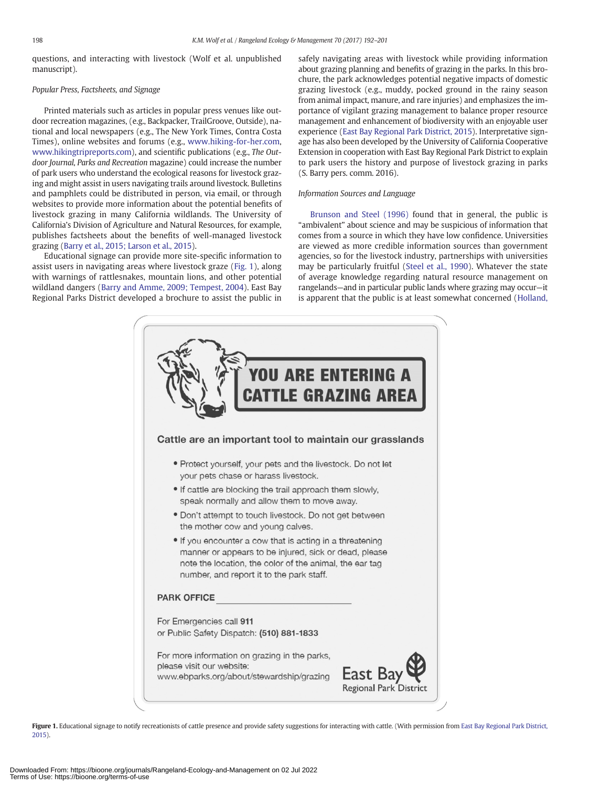questions, and interacting with livestock (Wolf et al. unpublished manuscript).

#### Popular Press, Factsheets, and Signage

Printed materials such as articles in popular press venues like outdoor recreation magazines, (e.g., Backpacker, TrailGroove, Outside), national and local newspapers (e.g., The New York Times, Contra Costa Times), online websites and forums (e.g., [www.hiking-for-her.com,](http://www.hiking-for-her.com) [www.hikingtripreports.com](http://www.hikingtripreports.com)), and scientific publications (e.g., The Outdoor Journal, Parks and Recreation magazine) could increase the number of park users who understand the ecological reasons for livestock grazing and might assist in users navigating trails around livestock. Bulletins and pamphlets could be distributed in person, via email, or through websites to provide more information about the potential benefits of livestock grazing in many California wildlands. The University of California's Division of Agriculture and Natural Resources, for example, publishes factsheets about the benefits of well-managed livestock grazing [\(Barry et al., 2015; Larson et al., 2015\)](#page-9-0).

Educational signage can provide more site-specific information to assist users in navigating areas where livestock graze (Fig. 1), along with warnings of rattlesnakes, mountain lions, and other potential wildland dangers ([Barry and Amme, 2009; Tempest, 2004](#page-9-0)). East Bay Regional Parks District developed a brochure to assist the public in safely navigating areas with livestock while providing information about grazing planning and benefits of grazing in the parks. In this brochure, the park acknowledges potential negative impacts of domestic grazing livestock (e.g., muddy, pocked ground in the rainy season from animal impact, manure, and rare injuries) and emphasizes the importance of vigilant grazing management to balance proper resource management and enhancement of biodiversity with an enjoyable user experience [\(East Bay Regional Park District, 2015](#page-9-0)). Interpretative signage has also been developed by the University of California Cooperative Extension in cooperation with East Bay Regional Park District to explain to park users the history and purpose of livestock grazing in parks (S. Barry pers. comm. 2016).

#### Information Sources and Language

[Brunson and Steel \(1996\)](#page-9-0) found that in general, the public is "ambivalent" about science and may be suspicious of information that comes from a source in which they have low confidence. Universities are viewed as more credible information sources than government agencies, so for the livestock industry, partnerships with universities may be particularly fruitful ([Steel et al., 1990](#page-10-0)). Whatever the state of average knowledge regarding natural resource management on rangelands—and in particular public lands where grazing may occur—it is apparent that the public is at least somewhat concerned ([Holland,](#page-10-0)



Figure 1. Educational signage to notify recreationists of cattle presence and provide safety suggestions for interacting with cattle. (With permission from [East Bay Regional Park District,](#page-9-0) [2015\)](#page-9-0).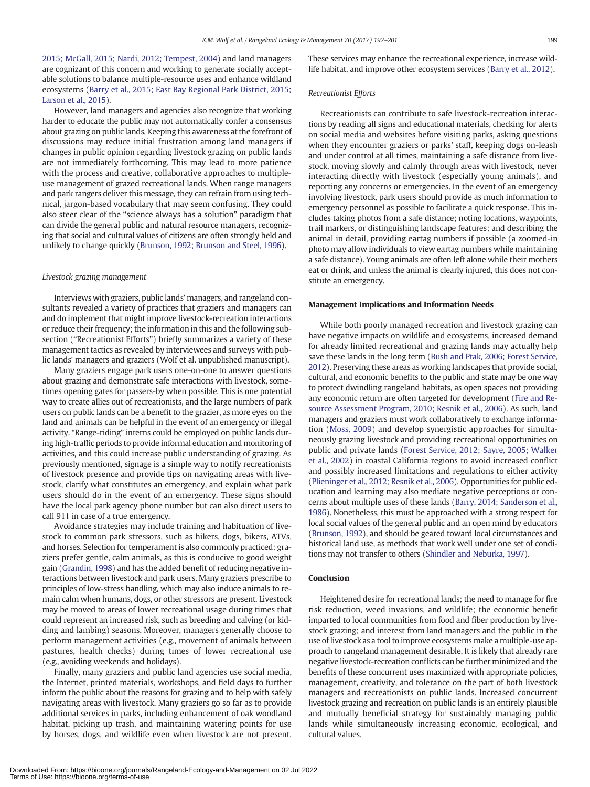[2015; McGall, 2015; Nardi, 2012; Tempest, 2004\)](#page-10-0) and land managers are cognizant of this concern and working to generate socially acceptable solutions to balance multiple-resource uses and enhance wildland ecosystems ([Barry et al., 2015; East Bay Regional Park District, 2015;](#page-9-0) [Larson et al., 2015\)](#page-9-0).

However, land managers and agencies also recognize that working harder to educate the public may not automatically confer a consensus about grazing on public lands. Keeping this awareness at the forefront of discussions may reduce initial frustration among land managers if changes in public opinion regarding livestock grazing on public lands are not immediately forthcoming. This may lead to more patience with the process and creative, collaborative approaches to multipleuse management of grazed recreational lands. When range managers and park rangers deliver this message, they can refrain from using technical, jargon-based vocabulary that may seem confusing. They could also steer clear of the "science always has a solution" paradigm that can divide the general public and natural resource managers, recognizing that social and cultural values of citizens are often strongly held and unlikely to change quickly [\(Brunson, 1992; Brunson and Steel, 1996](#page-9-0)).

#### Livestock grazing management

Interviews with graziers, public lands' managers, and rangeland consultants revealed a variety of practices that graziers and managers can and do implement that might improve livestock-recreation interactions or reduce their frequency; the information in this and the following subsection ("Recreationist Efforts") briefly summarizes a variety of these management tactics as revealed by interviewees and surveys with public lands' managers and graziers (Wolf et al. unpublished manuscript).

Many graziers engage park users one-on-one to answer questions about grazing and demonstrate safe interactions with livestock, sometimes opening gates for passers-by when possible. This is one potential way to create allies out of recreationists, and the large numbers of park users on public lands can be a benefit to the grazier, as more eyes on the land and animals can be helpful in the event of an emergency or illegal activity. "Range-riding" interns could be employed on public lands during high-traffic periods to provide informal education and monitoring of activities, and this could increase public understanding of grazing. As previously mentioned, signage is a simple way to notify recreationists of livestock presence and provide tips on navigating areas with livestock, clarify what constitutes an emergency, and explain what park users should do in the event of an emergency. These signs should have the local park agency phone number but can also direct users to call 911 in case of a true emergency.

Avoidance strategies may include training and habituation of livestock to common park stressors, such as hikers, dogs, bikers, ATVs, and horses. Selection for temperament is also commonly practiced: graziers prefer gentle, calm animals, as this is conducive to good weight gain ([Grandin, 1998\)](#page-9-0) and has the added benefit of reducing negative interactions between livestock and park users. Many graziers prescribe to principles of low-stress handling, which may also induce animals to remain calm when humans, dogs, or other stressors are present. Livestock may be moved to areas of lower recreational usage during times that could represent an increased risk, such as breeding and calving (or kidding and lambing) seasons. Moreover, managers generally choose to perform management activities (e.g., movement of animals between pastures, health checks) during times of lower recreational use (e.g., avoiding weekends and holidays).

Finally, many graziers and public land agencies use social media, the Internet, printed materials, workshops, and field days to further inform the public about the reasons for grazing and to help with safely navigating areas with livestock. Many graziers go so far as to provide additional services in parks, including enhancement of oak woodland habitat, picking up trash, and maintaining watering points for use by horses, dogs, and wildlife even when livestock are not present. These services may enhance the recreational experience, increase wildlife habitat, and improve other ecosystem services ([Barry et al., 2012](#page-9-0)).

#### Recreationist Efforts

Recreationists can contribute to safe livestock-recreation interactions by reading all signs and educational materials, checking for alerts on social media and websites before visiting parks, asking questions when they encounter graziers or parks' staff, keeping dogs on-leash and under control at all times, maintaining a safe distance from livestock, moving slowly and calmly through areas with livestock, never interacting directly with livestock (especially young animals), and reporting any concerns or emergencies. In the event of an emergency involving livestock, park users should provide as much information to emergency personnel as possible to facilitate a quick response. This includes taking photos from a safe distance; noting locations, waypoints, trail markers, or distinguishing landscape features; and describing the animal in detail, providing eartag numbers if possible (a zoomed-in photo may allow individuals to view eartag numbers while maintaining a safe distance). Young animals are often left alone while their mothers eat or drink, and unless the animal is clearly injured, this does not constitute an emergency.

### Management Implications and Information Needs

While both poorly managed recreation and livestock grazing can have negative impacts on wildlife and ecosystems, increased demand for already limited recreational and grazing lands may actually help save these lands in the long term ([Bush and Ptak, 2006; Forest Service,](#page-9-0) [2012](#page-9-0)). Preserving these areas as working landscapes that provide social, cultural, and economic benefits to the public and state may be one way to protect dwindling rangeland habitats, as open spaces not providing any economic return are often targeted for development [\(Fire and Re](#page-9-0)[source Assessment Program, 2010; Resnik et al., 2006](#page-9-0)). As such, land managers and graziers must work collaboratively to exchange information ([Moss, 2009](#page-10-0)) and develop synergistic approaches for simultaneously grazing livestock and providing recreational opportunities on public and private lands ([Forest Service, 2012; Sayre, 2005; Walker](#page-9-0) [et al., 2002\)](#page-9-0) in coastal California regions to avoid increased conflict and possibly increased limitations and regulations to either activity [\(Plieninger et al., 2012; Resnik et al., 2006\)](#page-10-0). Opportunities for public education and learning may also mediate negative perceptions or concerns about multiple uses of these lands [\(Barry, 2014; Sanderson et al.,](#page-9-0) [1986](#page-9-0)). Nonetheless, this must be approached with a strong respect for local social values of the general public and an open mind by educators [\(Brunson, 1992](#page-9-0)), and should be geared toward local circumstances and historical land use, as methods that work well under one set of conditions may not transfer to others ([Shindler and Neburka, 1997\)](#page-10-0).

#### **Conclusion**

Heightened desire for recreational lands; the need to manage for fire risk reduction, weed invasions, and wildlife; the economic benefit imparted to local communities from food and fiber production by livestock grazing; and interest from land managers and the public in the use of livestock as a tool to improve ecosystems make a multiple-use approach to rangeland management desirable. It is likely that already rare negative livestock-recreation conflicts can be further minimized and the benefits of these concurrent uses maximized with appropriate policies, management, creativity, and tolerance on the part of both livestock managers and recreationists on public lands. Increased concurrent livestock grazing and recreation on public lands is an entirely plausible and mutually beneficial strategy for sustainably managing public lands while simultaneously increasing economic, ecological, and cultural values.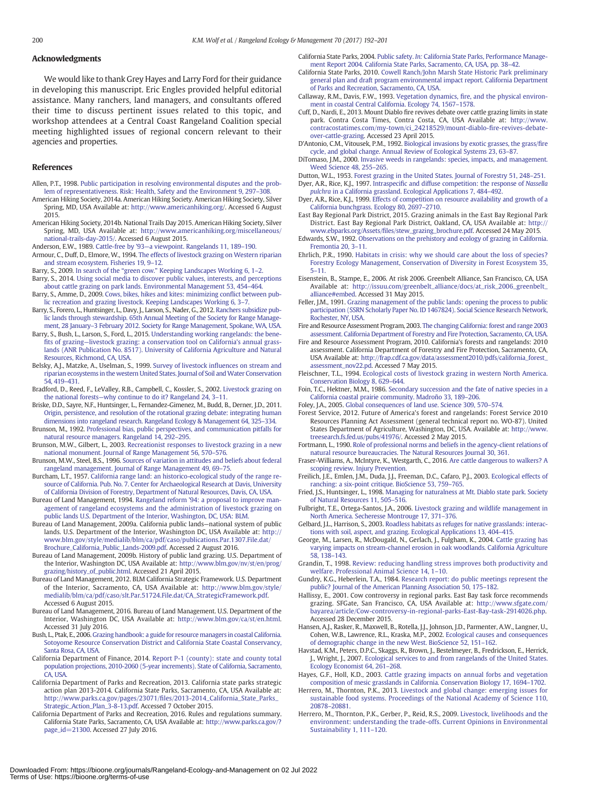#### <span id="page-9-0"></span>Acknowledgments

We would like to thank Grey Hayes and Larry Ford for their guidance in developing this manuscript. Eric Engles provided helpful editorial assistance. Many ranchers, land managers, and consultants offered their time to discuss pertinent issues related to this topic, and workshop attendees at a Central Coast Rangeland Coalition special meeting highlighted issues of regional concern relevant to their agencies and properties.

#### References

- Allen, P.T., 1998. [Public participation in resolving environmental disputes and the prob](http://refhub.elsevier.com/S1550-7424(16)30076-8/rf0005)[lem of representativeness. Risk: Health, Safety and the Environment 9, 297](http://refhub.elsevier.com/S1550-7424(16)30076-8/rf0005)–308.
- American Hiking Society, 2014a. American Hiking Society. American Hiking Society, Silver Spring, MD, USA Available at: <http://www.americanhiking.org>/. Accessed 6 August 2015.
- American Hiking Society, 2014b. National Trails Day 2015. American Hiking Society, Silver Spring, MD, USA Available at: [http://www.americanhiking.org/miscellaneous/](http://www.americanhiking.org/miscellaneous/national-trails-day-2015/) [national-trails-day-2015/.](http://www.americanhiking.org/miscellaneous/national-trails-day-2015/) Accessed 6 August 2015.
- Anderson, E.W., 1989. Cattle-free by '93—[a viewpoint. Rangelands 11, 189](http://refhub.elsevier.com/S1550-7424(16)30076-8/rf0020)–190.
- Armour, C., Duff, D., Elmore, W., 1994. [The effects of livestock grazing on Western riparian](http://refhub.elsevier.com/S1550-7424(16)30076-8/rf0025) [and stream ecosystem. Fisheries 19, 9](http://refhub.elsevier.com/S1550-7424(16)30076-8/rf0025)–12.
- Barry, S., 2009. In search of the "green cow." [Keeping Landscapes Working 6, 1](http://refhub.elsevier.com/S1550-7424(16)30076-8/rf0030)-2.
- Barry, S., 2014. [Using social media to discover public values, interests, and perceptions](http://refhub.elsevier.com/S1550-7424(16)30076-8/rf0040) [about cattle grazing on park lands. Environmental Management 53, 454](http://refhub.elsevier.com/S1550-7424(16)30076-8/rf0040)–464.
- Barry, S., Amme, D., 2009. [Cows, bikes, hikes and kites: minimizing con](http://refhub.elsevier.com/S1550-7424(16)30076-8/rf0045)flict between pub[lic recreation and grazing livestock. Keeping Landscapes Working 6, 3](http://refhub.elsevier.com/S1550-7424(16)30076-8/rf0045)–7.
- Barry, S., Forero, L., Huntsinger, L., Davy, J., Larson, S., Nader, G., 2012. [Ranchers subsidize pub](http://refhub.elsevier.com/S1550-7424(16)30076-8/rf0050)[lic lands through stewardship. 65th Annual Meeting of the Society for Range Manage](http://refhub.elsevier.com/S1550-7424(16)30076-8/rf0050)ment, 28 January–[3 February 2012. Society for Range Management, Spokane, WA, USA](http://refhub.elsevier.com/S1550-7424(16)30076-8/rf0050).
- Barry, S., Bush, L., Larson, S., Ford, L., 2015. [Understanding working rangelands: the bene](http://refhub.elsevier.com/S1550-7424(16)30076-8/rf0055)fits of grazing—[livestock grazing: a conservation tool on California](http://refhub.elsevier.com/S1550-7424(16)30076-8/rf0055)'s annual grass[lands \(ANR Publication No. 8517\). University of California Agriculture and Natural](http://refhub.elsevier.com/S1550-7424(16)30076-8/rf0055) [Resources, Richmond, CA, USA.](http://refhub.elsevier.com/S1550-7424(16)30076-8/rf0055)
- Belsky, A.J., Matzke, A., Uselman, S., 1999. Survey of livestock infl[uences on stream and](http://refhub.elsevier.com/S1550-7424(16)30076-8/rf0060) [riparian ecosystems in the western United States. Journal of Soil andWater Conservation](http://refhub.elsevier.com/S1550-7424(16)30076-8/rf0060) [54, 419](http://refhub.elsevier.com/S1550-7424(16)30076-8/rf0060)–431.
- Bradford, D., Reed, F., LeValley, R.B., Campbell, C., Kossler, S., 2002. [Livestock grazing on](http://refhub.elsevier.com/S1550-7424(16)30076-8/rf0065) the national forests—[why continue to do it? Rangeland 24, 3](http://refhub.elsevier.com/S1550-7424(16)30076-8/rf0065)–11.
- Briske, D.D., Sayre, N.F., Huntsinger, L., Fernandez-Gimenez, M., Budd, B., Derner, J.D., 2011. [Origin, persistence, and resolution of the rotational grazing debate: integrating human](http://refhub.elsevier.com/S1550-7424(16)30076-8/rf0070) dimensions into rangeland research. [Rangeland Ecology & Management 64, 325](http://refhub.elsevier.com/S1550-7424(16)30076-8/rf0070)–334.
- Brunson, M., 1992. [Professional bias, public perspectives, and communication pitfalls for](http://refhub.elsevier.com/S1550-7424(16)30076-8/rf0075) [natural resource managers. Rangeland 14, 292](http://refhub.elsevier.com/S1550-7424(16)30076-8/rf0075)–295.
- Brunson, M.W., Gilbert, L., 2003. [Recreationist responses to livestock grazing in a new](http://refhub.elsevier.com/S1550-7424(16)30076-8/rf0080) [national monument. Journal of Range Management 56, 570](http://refhub.elsevier.com/S1550-7424(16)30076-8/rf0080)–576.
- Brunson, M.W., Steel, B.S., 1996. [Sources of variation in attitudes and beliefs about federal](http://refhub.elsevier.com/S1550-7424(16)30076-8/rf0090) [rangeland management. Journal of Range Management 49, 69](http://refhub.elsevier.com/S1550-7424(16)30076-8/rf0090)–75.
- Burcham, L.T., 1957. [California range land: an historico-ecological study of the range re](http://refhub.elsevier.com/S1550-7424(16)30076-8/rf0095)[source of California. Pub. No. 7. Center for Archaeological Research at Davis, University](http://refhub.elsevier.com/S1550-7424(16)30076-8/rf0095) [of California Division of Forestry, Department of Natural Resources, Davis, CA, USA.](http://refhub.elsevier.com/S1550-7424(16)30076-8/rf0095)
- Bureau of Land Management, 1994. Rangeland reform '[94: a proposal to improve man](http://refhub.elsevier.com/S1550-7424(16)30076-8/rf0100)[agement of rangeland ecosystems and the administration of livestock grazing on](http://refhub.elsevier.com/S1550-7424(16)30076-8/rf0100) [public lands U.S. Department of the Interior, Washington, DC, USA: BLM](http://refhub.elsevier.com/S1550-7424(16)30076-8/rf0100).
- Bureau of Land Management, 2009a. California public lands—national system of public lands. U.S. Department of the Interior, Washington DC, USA Available at: [http://](http://www.blm.gov/style/medialib/blm/ca/pdf/caso/publications.Par.1307.File.dat/Brochure_California_Public_Lands-2009.pdf) [www.blm.gov/style/medialib/blm/ca/pdf/caso/publications.Par.1307.File.dat/](http://www.blm.gov/style/medialib/blm/ca/pdf/caso/publications.Par.1307.File.dat/Brochure_California_Public_Lands-2009.pdf) [Brochure\\_California\\_Public\\_Lands-2009.pdf](http://www.blm.gov/style/medialib/blm/ca/pdf/caso/publications.Par.1307.File.dat/Brochure_California_Public_Lands-2009.pdf). Accessed 2 August 2016.
- Bureau of Land Management, 2009b. History of public land grazing. U.S. Department of the Interior, Washington DC, USA Available at: [http://www.blm.gov/nv/st/en/prog/](http://www.blm.gov/nv/st/en/prog/grazing/history_of_public.html) [grazing/history\\_of\\_public.html](http://www.blm.gov/nv/st/en/prog/grazing/history_of_public.html). Accessed 21 April 2015.
- Bureau of Land Management, 2012. BLM California Strategic Framework. U.S. Department of the Interior, Sacramento, CA, USA Available at: [http://www.blm.gov/style/](http://www.blm.gov/style/medialib/blm/ca/pdf/caso/slt.Par.51724.File.dat/CA_StrategicFramework.pdf) [medialib/blm/ca/pdf/caso/slt.Par.51724.File.dat/CA\\_StrategicFramework.pdf](http://www.blm.gov/style/medialib/blm/ca/pdf/caso/slt.Par.51724.File.dat/CA_StrategicFramework.pdf). Accessed 6 August 2015.
- Bureau of Land Management, 2016. Bureau of Land Management. U.S. Department of the Interior, Washington DC, USA Available at: [http://www.blm.gov/ca/st/en.html.](http://www.blm.gov/ca/st/en.html) Accessed 31 July 2016.
- Bush, L., Ptak, E., 2006.[Grazing handbook: a guide for resource managers in coastal California.](http://refhub.elsevier.com/S1550-7424(16)30076-8/rf0125) [Sotoyome Resource Conservation District and California State Coastal Conservancy,](http://refhub.elsevier.com/S1550-7424(16)30076-8/rf0125) [Santa Rosa, CA, USA](http://refhub.elsevier.com/S1550-7424(16)30076-8/rf0125).
- California Department of Finance, 2014. [Report P-1 \(county\): state and county total](http://refhub.elsevier.com/S1550-7424(16)30076-8/rf0130) [population projections, 2010-2060 \(5-year increments\). State of California, Sacramento,](http://refhub.elsevier.com/S1550-7424(16)30076-8/rf0130) [CA, USA](http://refhub.elsevier.com/S1550-7424(16)30076-8/rf0130).
- California Department of Parks and Recreation, 2013. California state parks strategic action plan 2013-2014. California State Parks, Sacramento, CA, USA Available at: [http://www.parks.ca.gov/pages/23071/](http://www.parks.ca.gov/pages/23071/files/2013-2014_California_State_Parks_Strategic_Action_Plan_3-8-13.pdf)files/2013-2014\_California\_State\_Parks\_ [Strategic\\_Action\\_Plan\\_3-8-13.pdf.](http://www.parks.ca.gov/pages/23071/files/2013-2014_California_State_Parks_Strategic_Action_Plan_3-8-13.pdf) Accessed 7 October 2015.
- California Department of Parks and Recreation, 2016. Rules and regulations summary. California State Parks, Sacramento, CA, USA Available at: [http://www.parks.ca.gov/?](http://www.parks.ca.gov/?page_id=21300) [page\\_id=21300](http://www.parks.ca.gov/?page_id=21300). Accessed 27 July 2016.
- California State Parks, 2004. Public safety. In: [California State Parks, Performance Manage](http://refhub.elsevier.com/S1550-7424(16)30076-8/rf0145)[ment Report 2004. California State Parks, Sacramento, CA, USA, pp. 38](http://refhub.elsevier.com/S1550-7424(16)30076-8/rf0145)–42.
- California State Parks, 2010. [Cowell Ranch/John Marsh State Historic Park preliminary](http://refhub.elsevier.com/S1550-7424(16)30076-8/rf0150) [general plan and draft program environmental impact report. California Department](http://refhub.elsevier.com/S1550-7424(16)30076-8/rf0150) [of Parks and Recreation, Sacramento, CA, USA](http://refhub.elsevier.com/S1550-7424(16)30076-8/rf0150).
- Callaway, R.M., Davis, F.W., 1993. Vegetation dynamics, fi[re, and the physical environ](http://refhub.elsevier.com/S1550-7424(16)30076-8/rf0155)[ment in coastal Central California. Ecology 74, 1567](http://refhub.elsevier.com/S1550-7424(16)30076-8/rf0155)–1578.
- Cuff, D., Nardi, E., 2013. Mount Diablo fire revives debate over cattle grazing limits in state park. Contra Costa Times, Contra Costa, CA, USA Available at: [http://www.](http://www.contracostatimes.com/my-town/ci_24218529/mount-diablo-fire-revives-debate-over-cattle-grazing) [contracostatimes.com/my-town/ci\\_24218529/mount-diablo-](http://www.contracostatimes.com/my-town/ci_24218529/mount-diablo-fire-revives-debate-over-cattle-grazing)fire-revives-debate[over-cattle-grazing](http://www.contracostatimes.com/my-town/ci_24218529/mount-diablo-fire-revives-debate-over-cattle-grazing). Accessed 23 April 2015.
- D'Antonio, C.M., Vitousek, P.M., 1992. [Biological invasions by exotic grasses, the grass/](http://refhub.elsevier.com/S1550-7424(16)30076-8/rf0165)fire [cycle, and global change. Annual Review of Ecological Systems 23, 63](http://refhub.elsevier.com/S1550-7424(16)30076-8/rf0165)–87.
- DiTomaso, J.M., 2000. [Invasive weeds in rangelands: species, impacts, and management.](http://refhub.elsevier.com/S1550-7424(16)30076-8/rf0170) [Weed Science 48, 255](http://refhub.elsevier.com/S1550-7424(16)30076-8/rf0170)–265.
- Dutton, W.L., 1953. [Forest grazing in the United States. Journal of Forestry 51, 248](http://refhub.elsevier.com/S1550-7424(16)30076-8/rf0175)–251. Dyer, A.R., Rice, K.J., 1997. Intraspecifi[c and diffuse competition: the response of](http://refhub.elsevier.com/S1550-7424(16)30076-8/rf0180) Nassella pulchra [in a California grassland. Ecological Applications 7, 484](http://refhub.elsevier.com/S1550-7424(16)30076-8/rf0180)–492.
- Dyer, A.R., Rice, K.J., 1999. [Effects of competition on resource availability and growth of a](http://refhub.elsevier.com/S1550-7424(16)30076-8/rf0185) [California bunchgrass. Ecology 80, 2697](http://refhub.elsevier.com/S1550-7424(16)30076-8/rf0185)–2710.
- East Bay Regional Park District, 2015. Grazing animals in the East Bay Regional Park District. East Bay Regional Park District, Oakland, CA, USA Available at: [http://](http://www.ebparks.org/Assets/files/stew_grazing_brochure.pdf) www.ebparks.org/Assets/fi[les/stew\\_grazing\\_brochure.pdf.](http://www.ebparks.org/Assets/files/stew_grazing_brochure.pdf) Accessed 24 May 2015.
- Edwards, S.W., 1992. [Observations on the prehistory and ecology of grazing in California.](http://refhub.elsevier.com/S1550-7424(16)30076-8/rf0195) [Fremontia 20, 3](http://refhub.elsevier.com/S1550-7424(16)30076-8/rf0195)–11.
- Ehrlich, P.R., 1990. [Habitats in crisis: why we should care about the loss of species?](http://refhub.elsevier.com/S1550-7424(16)30076-8/rf0200) [Forestry Ecology Management, Conservation of Diversity in Forest Ecosystem 35,](http://refhub.elsevier.com/S1550-7424(16)30076-8/rf0200) 5–[11.](http://refhub.elsevier.com/S1550-7424(16)30076-8/rf0200)
- Eisenstein, B., Stampe, E., 2006. At risk 2006. Greenbelt Alliance, San Francisco, CA, USA Available at: [http://issuu.com/greenbelt\\_alliance/docs/at\\_risk\\_2006\\_greenbelt\\_](http://issuu.com/greenbelt_alliance/docs/at_risk_2006_greenbelt_alliance#embed) [alliance#embed.](http://issuu.com/greenbelt_alliance/docs/at_risk_2006_greenbelt_alliance#embed) Accessed 31 May 2015.
- Feller, J.M., 1991. [Grazing management of the public lands: opening the process to public](http://refhub.elsevier.com/S1550-7424(16)30076-8/rf0210) [participation \(SSRN Scholarly Paper No. ID 1467824\). Social Science Research Network,](http://refhub.elsevier.com/S1550-7424(16)30076-8/rf0210) [Rochester, NY, USA.](http://refhub.elsevier.com/S1550-7424(16)30076-8/rf0210)
- Fire and Resource Assessment Program, 2003. [The changing California: forest and range 2003](http://refhub.elsevier.com/S1550-7424(16)30076-8/rf0215) [assessment. California Department of Forestry and Fire Protection, Sacramento, CA, USA](http://refhub.elsevier.com/S1550-7424(16)30076-8/rf0215).
- Fire and Resource Assessment Program, 2010. California's forests and rangelands: 2010 assessment. California Department of Forestry and Fire Protection, Sacramento, CA, USA Available at: [http://frap.cdf.ca.gov/data/assessment2010/pdfs/california\\_forest\\_](http://frap.cdf.ca.gov/data/assessment2010/pdfs/california_forest_assessment_nov22.pd) [assessment\\_nov22.pd](http://frap.cdf.ca.gov/data/assessment2010/pdfs/california_forest_assessment_nov22.pd). Accessed 7 May 2015.
- Fleischner, T.L., 1994. [Ecological costs of livestock grazing in western North America.](http://refhub.elsevier.com/S1550-7424(16)30076-8/rf0225) [Conservation Biology 8, 629](http://refhub.elsevier.com/S1550-7424(16)30076-8/rf0225)–644.
- Foin, T.C., Hektner, M.M., 1986. [Secondary succession and the fate of native species in a](http://refhub.elsevier.com/S1550-7424(16)30076-8/rf0230) [California coastal prairie community. Madroño 33, 189](http://refhub.elsevier.com/S1550-7424(16)30076-8/rf0230)–206.
- Foley, J.A., 2005. [Global consequences of land use. Science 309, 570](http://refhub.elsevier.com/S1550-7424(16)30076-8/rf0235)–574.
- Forest Service, 2012. Future of America's forest and rangelands: Forest Service 2010 Resources Planning Act Assessment (general technical report no. WO-87). United States Department of Agriculture, Washington, DC, USA. Available at: [http://www.](http://www.treesearch.fs.fed.us/pubs/41976/) [treesearch.fs.fed.us/pubs/41976/.](http://www.treesearch.fs.fed.us/pubs/41976/) Accessed 2 May 2015.
- Fortmann, L., 1990. [Role of professional norms and beliefs in the agency-client relations of](http://refhub.elsevier.com/S1550-7424(16)30076-8/rf0250) [natural resource bureaucracies. The Natural Resources Journal 30, 361](http://refhub.elsevier.com/S1550-7424(16)30076-8/rf0250).
- Fraser-Williams, A., McIntyre, K., Westgarth, C., 2016. [Are cattle dangerous to walkers? A](http://refhub.elsevier.com/S1550-7424(16)30076-8/rf0255) [scoping review. Injury Prevention](http://refhub.elsevier.com/S1550-7424(16)30076-8/rf0255).
- Freilich, J.E., Emlen, J.M., Duda, J.J., Freeman, D.C., Cafaro, P.J., 2003. [Ecological effects of](http://refhub.elsevier.com/S1550-7424(16)30076-8/rf0260) [ranching: a six-point critique. BioScience 53, 759](http://refhub.elsevier.com/S1550-7424(16)30076-8/rf0260)–765.
- Fried, J.S., Huntsinger, L., 1998. [Managing for naturalness at Mt. Diablo state park. Society](http://refhub.elsevier.com/S1550-7424(16)30076-8/rf0265) [of Natural Resources 11, 505](http://refhub.elsevier.com/S1550-7424(16)30076-8/rf0265)–516.
- Fulbright, T.E., Ortega-Santos, J.A., 2006. [Livestock grazing and wildlife management in](http://refhub.elsevier.com/S1550-7424(16)30076-8/rf0270) [North America. Secheresse Montrouge 17, 371](http://refhub.elsevier.com/S1550-7424(16)30076-8/rf0270)–376.
- Gelbard, J.L., Harrison, S., 2003. [Roadless habitats as refuges for native grasslands: interac](http://refhub.elsevier.com/S1550-7424(16)30076-8/rf0275)[tions with soil, aspect, and grazing. Ecological Applications 13, 404](http://refhub.elsevier.com/S1550-7424(16)30076-8/rf0275)–415.
- George, M., Larsen, R., McDougald, N., Gerlach, J., Fulgham, K., 2004. [Cattle grazing has](http://refhub.elsevier.com/S1550-7424(16)30076-8/rf0280) [varying impacts on stream-channel erosion in oak woodlands. California Agriculture](http://refhub.elsevier.com/S1550-7424(16)30076-8/rf0280) [58, 138](http://refhub.elsevier.com/S1550-7424(16)30076-8/rf0280)–143.
- Grandin, T., 1998. [Review: reducing handling stress improves both productivity and](http://refhub.elsevier.com/S1550-7424(16)30076-8/rf0290) [welfare. Professional Animal Science 14, 1](http://refhub.elsevier.com/S1550-7424(16)30076-8/rf0290)–10.
- Gundry, K.G., Heberlein, T.A., 1984. [Research report: do public meetings represent the](http://refhub.elsevier.com/S1550-7424(16)30076-8/rf0295) [public? Journal of the American Planning Association 50, 175](http://refhub.elsevier.com/S1550-7424(16)30076-8/rf0295)–182.
- Hallissy, E., 2001. Cow controversy in regional parks. East Bay task force recommends grazing. SFGate, San Francisco, CA, USA Available at: [http://www.sfgate.com/](http://www.sfgate.com/bayarea/article/Cow-controversy-in-regional-parks-East-Bay-task-2914026.php) [bayarea/article/Cow-controversy-in-regional-parks-East-Bay-task-2914026.php.](http://www.sfgate.com/bayarea/article/Cow-controversy-in-regional-parks-East-Bay-task-2914026.php) Accessed 28 December 2015.
- Hansen, A.J., Rasker, R., Maxwell, B., Rotella, J.J., Johnson, J.D., Parmenter, A.W., Langner, U., Cohen, W.B., Lawrence, R.L., Kraska, M.P., 2002. [Ecological causes and consequences](http://refhub.elsevier.com/S1550-7424(16)30076-8/rf0305) [of demographic change in the new West. BioScience 52, 151](http://refhub.elsevier.com/S1550-7424(16)30076-8/rf0305)–162.
- Havstad, K.M., Peters, D.P.C., Skaggs, R., Brown, J., Bestelmeyer, B., Fredrickson, E., Herrick, J., Wright, J., 2007. [Ecological services to and from rangelands of the United States.](http://refhub.elsevier.com/S1550-7424(16)30076-8/rf0310) [Ecology Economist 64, 261](http://refhub.elsevier.com/S1550-7424(16)30076-8/rf0310)–268.
- Hayes, G.F., Holl, K.D., 2003. [Cattle grazing impacts on annual forbs and vegetation](http://refhub.elsevier.com/S1550-7424(16)30076-8/rf0315) [composition of mesic grasslands in California. Conservation Biology 17, 1694](http://refhub.elsevier.com/S1550-7424(16)30076-8/rf0315)–1702.
- Herrero, M., Thornton, P.K., 2013. [Livestock and global change: emerging issues for](http://refhub.elsevier.com/S1550-7424(16)30076-8/rf0320) [sustainable food systems. Proceedings of the National Academy of Science 110,](http://refhub.elsevier.com/S1550-7424(16)30076-8/rf0320) [20878](http://refhub.elsevier.com/S1550-7424(16)30076-8/rf0320)–20881.
- Herrero, M., Thornton, P.K., Gerber, P., Reid, R.S., 2009. [Livestock, livelihoods and the](http://refhub.elsevier.com/S1550-7424(16)30076-8/rf0325) [environment: understanding the trade-offs. Current Opinions in Environmental](http://refhub.elsevier.com/S1550-7424(16)30076-8/rf0325) [Sustainability 1, 111](http://refhub.elsevier.com/S1550-7424(16)30076-8/rf0325)–120.